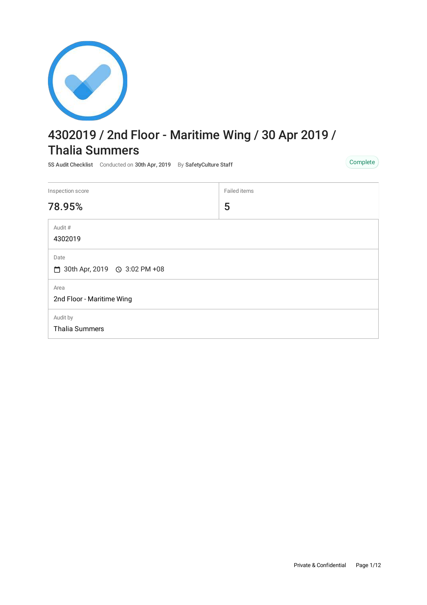

# 4302019 / 2nd Floor - Maritime Wing / 30 Apr 2019 / Thalia Summers

5S Audit Checklist Conducted on 30th Apr, 2019 By SafetyCulture Staff Complete Complete

| Inspection score                       | Failed items |  |
|----------------------------------------|--------------|--|
| 78.95%                                 | 5            |  |
| Audit #<br>4302019                     |              |  |
| Date<br>□ 30th Apr, 2019 ① 3:02 PM +08 |              |  |
| Area<br>2nd Floor - Maritime Wing      |              |  |
| Audit by<br><b>Thalia Summers</b>      |              |  |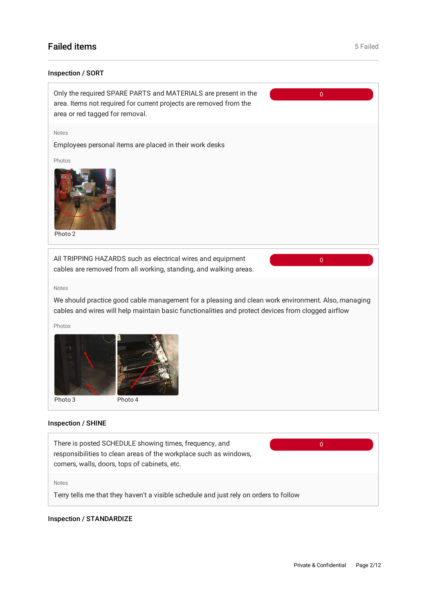# **Failed items** 5 Failed **items** 5 Failed **items** 5 Failed **items** 5 Failed **items** 5 Failed

### Inspection / SORT



#### Notes

We should practice good cable management for a pleasing and clean work environment. Also, managing cables and wires will help maintain basic functionalities and protect devices from clogged airflow

Photos



### Inspection / SHINE



### Inspection / STANDARDIZE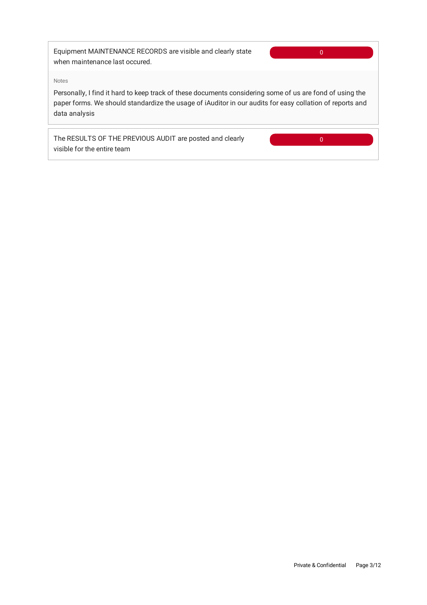Equipment MAINTENANCE RECORDS are visible and clearly state when maintenance last occured.

 $\overline{0}$ 

#### Notes

Personally, I find it hard to keep track of these documents considering some of us are fond of using the paper forms. We should standardize the usage of iAuditor in our audits for easy collation of reports and data analysis

The RESULTS OF THE PREVIOUS AUDIT are posted and clearly visible for the entire team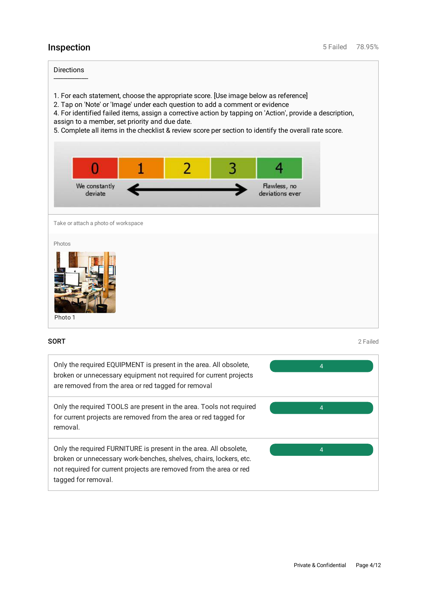Directions --------------------

- 1. For each statement, choose the appropriate score. [Use image below as reference]
- 2. Tap on 'Note' or 'Image' under each question to add a comment or evidence

4. For identified failed items, assign a corrective action by tapping on 'Action', provide a description, assign to a member, set priority and due date.

5. Complete all items in the checklist & review score per section to identify the overall rate score.



Take or attach a photo of workspace

#### Photos



**SORT** 2 Failed

| Only the required EQUIPMENT is present in the area. All obsolete,<br>broken or unnecessary equipment not required for current projects<br>are removed from the area or red tagged for removal                                        | 4 |
|--------------------------------------------------------------------------------------------------------------------------------------------------------------------------------------------------------------------------------------|---|
| Only the required TOOLS are present in the area. Tools not required<br>for current projects are removed from the area or red tagged for<br>removal.                                                                                  | 4 |
| Only the required FURNITURE is present in the area. All obsolete,<br>broken or unnecessary work-benches, shelves, chairs, lockers, etc.<br>not required for current projects are removed from the area or red<br>tagged for removal. | 4 |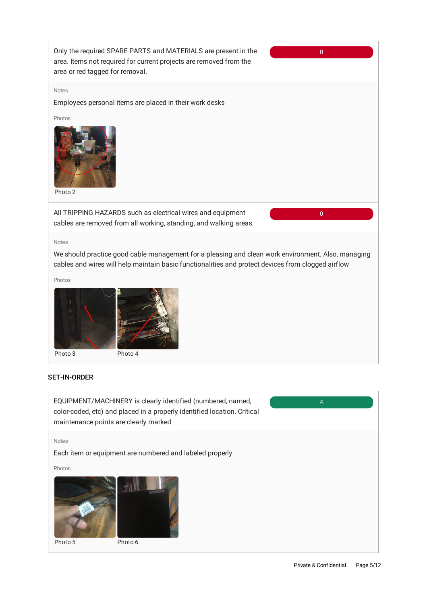

EQUIPMENT/MACHINERY is clearly identified (numbered, named, color-coded, etc) and placed in a properly identified location. Critical maintenance points are clearly marked

Notes

Each item or equipment are numbered and labeled properly

Photos



Private & Confidential Page 5/12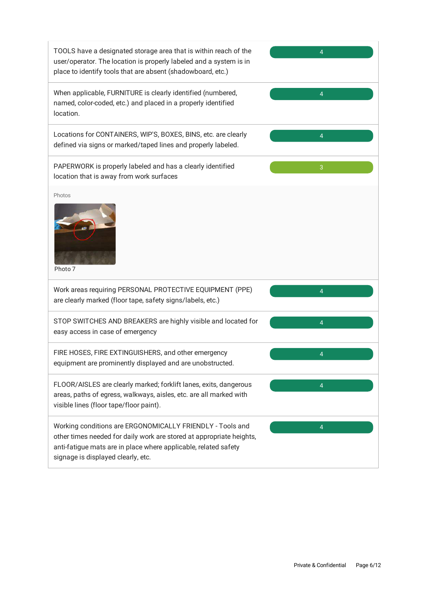| TOOLS have a designated storage area that is within reach of the<br>user/operator. The location is properly labeled and a system is in<br>place to identify tools that are absent (shadowboard, etc.)                                      | 4              |
|--------------------------------------------------------------------------------------------------------------------------------------------------------------------------------------------------------------------------------------------|----------------|
| When applicable, FURNITURE is clearly identified (numbered,<br>named, color-coded, etc.) and placed in a properly identified<br>location.                                                                                                  | 4              |
| Locations for CONTAINERS, WIP'S, BOXES, BINS, etc. are clearly<br>defined via signs or marked/taped lines and properly labeled.                                                                                                            | 4              |
| PAPERWORK is properly labeled and has a clearly identified<br>location that is away from work surfaces                                                                                                                                     | 3              |
| Photos<br>Photo 7                                                                                                                                                                                                                          |                |
| Work areas requiring PERSONAL PROTECTIVE EQUIPMENT (PPE)<br>are clearly marked (floor tape, safety signs/labels, etc.)                                                                                                                     | 4              |
| STOP SWITCHES AND BREAKERS are highly visible and located for<br>easy access in case of emergency                                                                                                                                          | 4              |
| FIRE HOSES, FIRE EXTINGUISHERS, and other emergency<br>equipment are prominently displayed and are unobstructed.                                                                                                                           | 4              |
| FLOOR/AISLES are clearly marked; forklift lanes, exits, dangerous<br>areas, paths of egress, walkways, aisles, etc. are all marked with<br>visible lines (floor tape/floor paint).                                                         | $\overline{4}$ |
| Working conditions are ERGONOMICALLY FRIENDLY - Tools and<br>other times needed for daily work are stored at appropriate heights,<br>anti-fatigue mats are in place where applicable, related safety<br>signage is displayed clearly, etc. | 4              |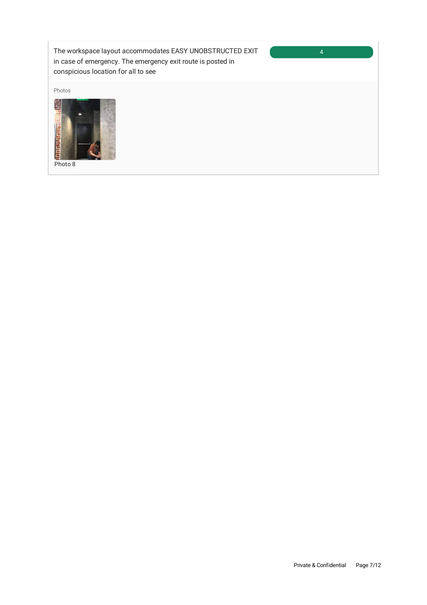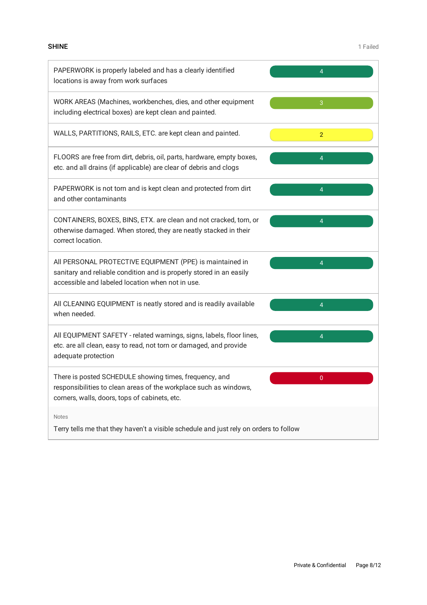| PAPERWORK is properly labeled and has a clearly identified<br>locations is away from work surfaces                                                                                  | 4              |  |
|-------------------------------------------------------------------------------------------------------------------------------------------------------------------------------------|----------------|--|
| WORK AREAS (Machines, workbenches, dies, and other equipment<br>including electrical boxes) are kept clean and painted.                                                             | 3              |  |
| WALLS, PARTITIONS, RAILS, ETC. are kept clean and painted.                                                                                                                          | $\overline{2}$ |  |
| FLOORS are free from dirt, debris, oil, parts, hardware, empty boxes,<br>etc. and all drains (if applicable) are clear of debris and clogs                                          | 4              |  |
| PAPERWORK is not torn and is kept clean and protected from dirt<br>and other contaminants                                                                                           | 4              |  |
| CONTAINERS, BOXES, BINS, ETX. are clean and not cracked, torn, or<br>otherwise damaged. When stored, they are neatly stacked in their<br>correct location.                          | 4              |  |
| All PERSONAL PROTECTIVE EQUIPMENT (PPE) is maintained in<br>sanitary and reliable condition and is properly stored in an easily<br>accessible and labeled location when not in use. | 4              |  |
| All CLEANING EQUIPMENT is neatly stored and is readily available<br>when needed.                                                                                                    | 4              |  |
| All EQUIPMENT SAFETY - related warnings, signs, labels, floor lines,<br>etc. are all clean, easy to read, not torn or damaged, and provide<br>adequate protection                   | $\overline{4}$ |  |
| There is posted SCHEDULE showing times, frequency, and<br>responsibilities to clean areas of the workplace such as windows,<br>corners, walls, doors, tops of cabinets, etc.        | 0              |  |
| <b>Notes</b><br>Terry tells me that they haven't a visible schedule and just rely on orders to follow                                                                               |                |  |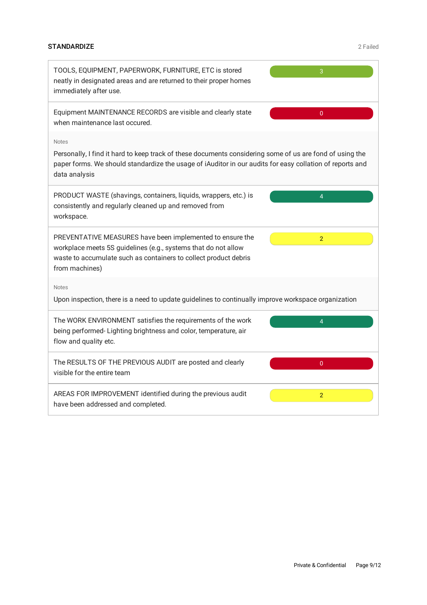## STANDARDIZE 2 Failed

| TOOLS, EQUIPMENT, PAPERWORK, FURNITURE, ETC is stored<br>neatly in designated areas and are returned to their proper homes<br>immediately after use.                                                                                                  | 3                       |  |
|-------------------------------------------------------------------------------------------------------------------------------------------------------------------------------------------------------------------------------------------------------|-------------------------|--|
| Equipment MAINTENANCE RECORDS are visible and clearly state<br>when maintenance last occured.                                                                                                                                                         | $\overline{0}$          |  |
| <b>Notes</b><br>Personally, I find it hard to keep track of these documents considering some of us are fond of using the<br>paper forms. We should standardize the usage of iAuditor in our audits for easy collation of reports and<br>data analysis |                         |  |
| PRODUCT WASTE (shavings, containers, liquids, wrappers, etc.) is<br>consistently and regularly cleaned up and removed from<br>workspace.                                                                                                              | $\overline{\mathbf{A}}$ |  |
| PREVENTATIVE MEASURES have been implemented to ensure the<br>workplace meets 5S guidelines (e.g., systems that do not allow<br>waste to accumulate such as containers to collect product debris<br>from machines)                                     | $\overline{2}$          |  |
| <b>Notes</b><br>Upon inspection, there is a need to update guidelines to continually improve workspace organization                                                                                                                                   |                         |  |
| The WORK ENVIRONMENT satisfies the requirements of the work<br>being performed-Lighting brightness and color, temperature, air<br>flow and quality etc.                                                                                               | 4                       |  |
| The RESULTS OF THE PREVIOUS AUDIT are posted and clearly<br>visible for the entire team                                                                                                                                                               | $\overline{0}$          |  |
| AREAS FOR IMPROVEMENT identified during the previous audit<br>have been addressed and completed.                                                                                                                                                      | $\overline{2}$          |  |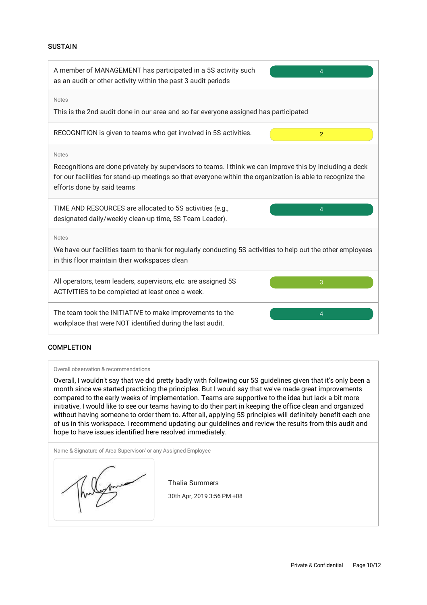#### **SUSTAIN**



#### **COMPLETION**

#### Overall observation & recommendations

Overall, I wouldn't say that we did pretty badly with following our 5S guidelines given that it's only been a month since we started practicing the principles. But I would say that we've made great improvements compared to the early weeks of implementation. Teams are supportive to the idea but lack a bit more initiative, I would like to see our teams having to do their part in keeping the office clean and organized without having someone to order them to. After all, applying 5S principles will definitely benefit each one of us in this workspace. I recommend updating our guidelines and review the results from this audit and hope to have issues identified here resolved immediately.

Name & Signature of Area Supervisor/ or any Assigned Employee

Thalia Summers 30th Apr, 2019 3:56 PM +08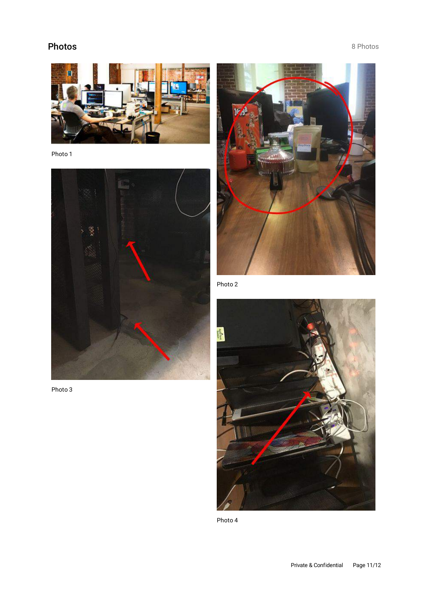# Photos 8 Photos 8 Photos



Photo 1



Photo 3



Photo 2



Photo 4